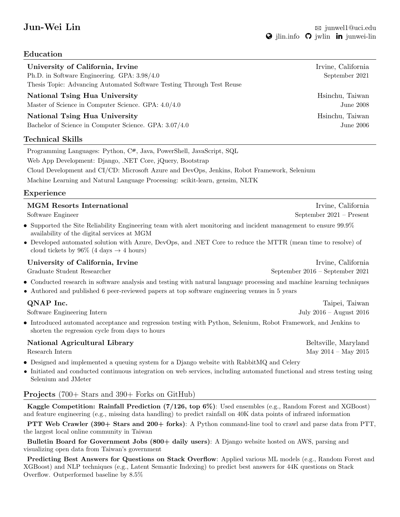# Education

| University of California, Irvine<br>Ph.D. in Software Engineering. GPA: 3.98/4.0<br>Thesis Topic: Advancing Automated Software Testing Through Test Reuse | Irvine, California<br>September 2021 |
|-----------------------------------------------------------------------------------------------------------------------------------------------------------|--------------------------------------|
| National Tsing Hua University<br>Master of Science in Computer Science. GPA: $4.0/4.0$                                                                    | Hsinchu, Taiwan<br>June 2008         |
| National Tsing Hua University<br>Bachelor of Science in Computer Science. GPA: $3.07/4.0$<br>Tochnical Skille                                             | Hsinchu, Taiwan<br>June $2006$       |

Technical Skills Programming Languages: Python, C#, Java, PowerShell, JavaScript, SQL

Web App Development: Django, .NET Core, jQuery, Bootstrap

Cloud Development and CI/CD: Microsoft Azure and DevOps, Jenkins, Robot Framework, Selenium

Machine Learning and Natural Language Processing: scikit-learn, gensim, NLTK

### Experience

| <b>MGM</b> Resorts International<br>Software Engineer                                                                                                              | Irvine, California<br>September $2021 -$ Present |
|--------------------------------------------------------------------------------------------------------------------------------------------------------------------|--------------------------------------------------|
| • Supported the Site Reliability Engineering team with a lert monitoring and incident management to ensure $99.9\%$<br>availability of the digital services at MGM |                                                  |
| $1 \text{ NTPB}$ $\alpha$ $1 \text{ NTPB}$ $\beta$ $\beta$<br>$\cdots$ $\cdots$ $\cdots$                                                                           |                                                  |

• Developed automated solution with Azure, DevOps, and .NET Core to reduce the MTTR (mean time to resolve) of cloud tickets by 96% (4 days  $\rightarrow$  4 hours)

## University of California, Irvine **Irvine** Irvine, California Irvine, California

Graduate Student Researcher September 2016 – September 2021

- Conducted research in software analysis and testing with natural language processing and machine learning techniques
- Authored and published 6 peer-reviewed papers at top software engineering venues in 5 years

## **QNAP Inc.** Taipei, Taiwan

Software Engineering Intern July 2016 – August 2016

• Introduced automated acceptance and regression testing with Python, Selenium, Robot Framework, and Jenkins to shorten the regression cycle from days to hours

### National Agricultural Library and the settlement of the Beltsville, Maryland

Research Intern May 2015

- Designed and implemented a queuing system for a Django website with RabbitMQ and Celery
- Initiated and conducted continuous integration on web services, including automated functional and stress testing using Selenium and JMeter

## Projects (700+ Stars and 390+ Forks on GitHub)

Kaggle Competition: Rainfall Prediction (7/126, top 6%): Used ensembles (e.g., Random Forest and XGBoost) and feature engineering (e.g., missing data handling) to predict rainfall on 40K data points of infrared information

PTT Web Crawler (390+ Stars and 200+ forks): A Python command-line tool to crawl and parse data from PTT, the largest local online community in Taiwan

Bulletin Board for Government Jobs (800+ daily users): A Django website hosted on AWS, parsing and visualizing open data from Taiwan's government

Predicting Best Answers for Questions on Stack Overflow: Applied various ML models (e.g., Random Forest and XGBoost) and NLP techniques (e.g., Latent Semantic Indexing) to predict best answers for 44K questions on Stack Overflow. Outperformed baseline by 8.5%